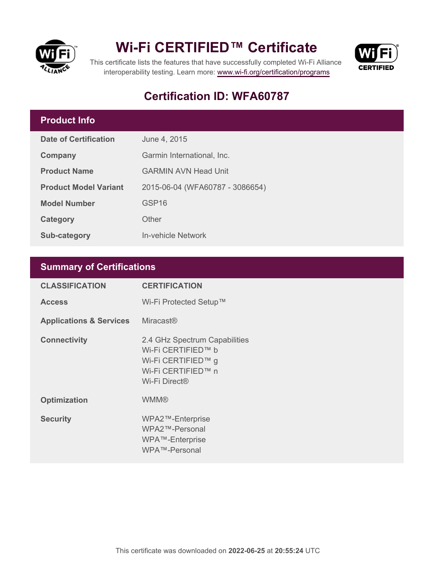

## **Wi-Fi CERTIFIED™ Certificate**



This certificate lists the features that have successfully completed Wi-Fi Alliance interoperability testing. Learn more:<www.wi-fi.org/certification/programs>

### **Certification ID: WFA60787**

#### **Product Info**

| <b>Date of Certification</b> | June 4, 2015                    |  |
|------------------------------|---------------------------------|--|
| Company                      | Garmin International, Inc.      |  |
| <b>Product Name</b>          | <b>GARMIN AVN Head Unit</b>     |  |
| <b>Product Model Variant</b> | 2015-06-04 (WFA60787 - 3086654) |  |
| <b>Model Number</b>          | GSP <sub>16</sub>               |  |
| Category                     | Other                           |  |
| <b>Sub-category</b>          | In-vehicle Network              |  |

### **Summary of Certifications**

| <b>CLASSIFICATION</b>              | <b>CERTIFICATION</b>                                                                                                         |
|------------------------------------|------------------------------------------------------------------------------------------------------------------------------|
| <b>Access</b>                      | Wi-Fi Protected Setup™                                                                                                       |
| <b>Applications &amp; Services</b> | <b>Miracast®</b>                                                                                                             |
| <b>Connectivity</b>                | 2.4 GHz Spectrum Capabilities<br>Wi-Fi CERTIFIED™ b<br>Wi-Fi CERTIFIED™ g<br>Wi-Fi CERTIFIED™ n<br>Wi-Fi Direct <sup>®</sup> |
| <b>Optimization</b>                | <b>WMM®</b>                                                                                                                  |
| <b>Security</b>                    | WPA2™-Enterprise<br>WPA2™-Personal<br>WPA™-Enterprise<br>WPA™-Personal                                                       |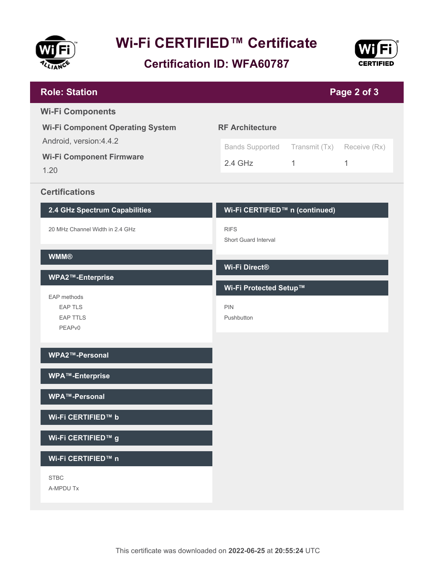

# **Wi-Fi CERTIFIED™ Certificate**

### **Certification ID: WFA60787**



| <b>Role: Station</b>                    |                                     |                            | Page 2 of 3 |
|-----------------------------------------|-------------------------------------|----------------------------|-------------|
| <b>Wi-Fi Components</b>                 |                                     |                            |             |
| <b>Wi-Fi Component Operating System</b> | <b>RF Architecture</b>              |                            |             |
| Android, version: 4.4.2                 | <b>Bands Supported</b>              | Transmit (Tx) Receive (Rx) |             |
| <b>Wi-Fi Component Firmware</b><br>1.20 | $2.4$ GHz                           | $\mathbf{1}$               | 1           |
|                                         |                                     |                            |             |
| <b>Certifications</b>                   |                                     |                            |             |
| 2.4 GHz Spectrum Capabilities           | Wi-Fi CERTIFIED™ n (continued)      |                            |             |
| 20 MHz Channel Width in 2.4 GHz         | <b>RIFS</b><br>Short Guard Interval |                            |             |
| <b>WMM®</b>                             | Wi-Fi Direct®                       |                            |             |
| WPA2™-Enterprise                        |                                     |                            |             |
| EAP methods                             | Wi-Fi Protected Setup™              |                            |             |
| <b>EAP TLS</b><br><b>EAP TTLS</b>       | PIN<br>Pushbutton                   |                            |             |
| PEAPv0                                  |                                     |                            |             |
|                                         |                                     |                            |             |
| WPA2™-Personal                          |                                     |                            |             |
| <b>WPA™-Enterprise</b>                  |                                     |                            |             |
| WPA™-Personal                           |                                     |                            |             |
| Wi-Fi CERTIFIED™ b                      |                                     |                            |             |
| Wi-Fi CERTIFIED™ g                      |                                     |                            |             |
| Wi-Fi CERTIFIED™ n                      |                                     |                            |             |
| <b>STBC</b>                             |                                     |                            |             |
| A-MPDU Tx                               |                                     |                            |             |